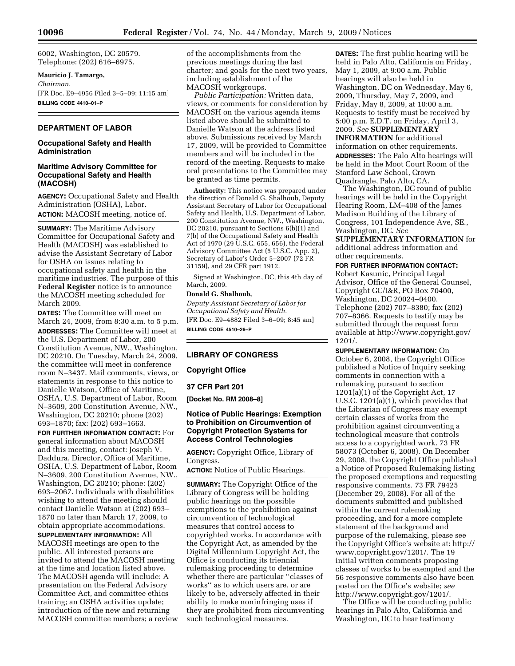6002, Washington, DC 20579. Telephone: (202) 616–6975.

### **Mauricio J. Tamargo,**

*Chairman.*  [FR Doc. E9–4956 Filed 3–5–09; 11:15 am] **BILLING CODE 4410–01–P** 

# **DEPARTMENT OF LABOR**

### **Occupational Safety and Health Administration**

# **Maritime Advisory Committee for Occupational Safety and Health (MACOSH)**

**AGENCY:** Occupational Safety and Health Administration (OSHA), Labor. **ACTION:** MACOSH meeting, notice of.

**SUMMARY:** The Maritime Advisory Committee for Occupational Safety and Health (MACOSH) was established to advise the Assistant Secretary of Labor for OSHA on issues relating to occupational safety and health in the maritime industries. The purpose of this **Federal Register** notice is to announce the MACOSH meeting scheduled for March 2009.

**DATES:** The Committee will meet on March 24, 2009, from 8:30 a.m. to 5 p.m. **ADDRESSES:** The Committee will meet at the U.S. Department of Labor, 200 Constitution Avenue, NW., Washington, DC 20210. On Tuesday, March 24, 2009, the committee will meet in conference room N–3437. Mail comments, views, or statements in response to this notice to Danielle Watson, Office of Maritime, OSHA, U.S. Department of Labor, Room N–3609, 200 Constitution Avenue, NW., Washington, DC 20210; phone (202) 693–1870; fax: (202) 693–1663.

**FOR FURTHER INFORMATION CONTACT:** For general information about MACOSH and this meeting, contact: Joseph V. Daddura, Director, Office of Maritime, OSHA, U.S. Department of Labor, Room N–3609, 200 Constitution Avenue, NW., Washington, DC 20210; phone: (202) 693–2067. Individuals with disabilities wishing to attend the meeting should contact Danielle Watson at (202) 693– 1870 no later than March 17, 2009, to obtain appropriate accommodations.

**SUPPLEMENTARY INFORMATION:** All MACOSH meetings are open to the public. All interested persons are invited to attend the MACOSH meeting at the time and location listed above. The MACOSH agenda will include: A presentation on the Federal Advisory Committee Act, and committee ethics training; an OSHA activities update; introduction of the new and returning MACOSH committee members; a review of the accomplishments from the previous meetings during the last charter; and goals for the next two years, including establishment of the MACOSH workgroups.

*Public Participation:* Written data, views, or comments for consideration by MACOSH on the various agenda items listed above should be submitted to Danielle Watson at the address listed above. Submissions received by March 17, 2009, will be provided to Committee members and will be included in the record of the meeting. Requests to make oral presentations to the Committee may be granted as time permits.

**Authority:** This notice was prepared under the direction of Donald G. Shalhoub, Deputy Assistant Secretary of Labor for Occupational Safety and Health, U.S. Department of Labor, 200 Constitution Avenue, NW., Washington, DC 20210, pursuant to Sections 6(b)(1) and 7(b) of the Occupational Safety and Health Act of 1970 (29 U.S.C. 655, 656), the Federal Advisory Committee Act (5 U.S.C. App. 2), Secretary of Labor's Order 5–2007 (72 FR 31159), and 29 CFR part 1912.

Signed at Washington, DC, this 4th day of March, 2009.

### **Donald G. Shalhoub,**

*Deputy Assistant Secretary of Labor for Occupational Safety and Health.*  [FR Doc. E9–4882 Filed 3–6–09; 8:45 am] **BILLING CODE 4510–26–P** 

# **LIBRARY OF CONGRESS**

**Copyright Office** 

**37 CFR Part 201** 

**[Docket No. RM 2008–8]** 

# **Notice of Public Hearings: Exemption to Prohibition on Circumvention of Copyright Protection Systems for Access Control Technologies**

**AGENCY:** Copyright Office, Library of Congress.

**ACTION:** Notice of Public Hearings.

**SUMMARY:** The Copyright Office of the Library of Congress will be holding public hearings on the possible exemptions to the prohibition against circumvention of technological measures that control access to copyrighted works. In accordance with the Copyright Act, as amended by the Digital Millennium Copyright Act, the Office is conducting its triennial rulemaking proceeding to determine whether there are particular ''classes of works'' as to which users are, or are likely to be, adversely affected in their ability to make noninfringing uses if they are prohibited from circumventing such technological measures.

**DATES:** The first public hearing will be held in Palo Alto, California on Friday, May 1, 2009, at 9:00 a.m. Public hearings will also be held in Washington, DC on Wednesday, May 6, 2009, Thursday, May 7, 2009, and Friday, May 8, 2009, at 10:00 a.m. Requests to testify must be received by 5:00 p.m. E.D.T. on Friday, April 3, 2009. *See* **SUPPLEMENTARY INFORMATION** for additional information on other requirements. **ADDRESSES:** The Palo Alto hearings will be held in the Moot Court Room of the Stanford Law School, Crown Quadrangle, Palo Alto, CA.

The Washington, DC round of public hearings will be held in the Copyright Hearing Room, LM–408 of the James Madison Building of the Library of Congress, 101 Independence Ave, SE., Washington, DC. *See* 

**SUPPLEMENTARY INFORMATION** for additional address information and other requirements.

### **FOR FURTHER INFORMATION CONTACT:**

Robert Kasunic, Principal Legal Advisor, Office of the General Counsel, Copyright GC/I&R, PO Box 70400, Washington, DC 20024–0400. Telephone (202) 707–8380; fax (202) 707–8366. Requests to testify may be submitted through the request form available at http://www.copyright.gov/ 1201/.

**SUPPLEMENTARY INFORMATION:** On October 6, 2008, the Copyright Office published a Notice of Inquiry seeking comments in connection with a rulemaking pursuant to section 1201(a)(1) of the Copyright Act, 17 U.S.C. 1201(a)(1), which provides that the Librarian of Congress may exempt certain classes of works from the prohibition against circumventing a technological measure that controls access to a copyrighted work. 73 FR 58073 (October 6, 2008). On December 29, 2008, the Copyright Office published a Notice of Proposed Rulemaking listing the proposed exemptions and requesting responsive comments. 73 FR 79425 (December 29, 2008). For all of the documents submitted and published within the current rulemaking proceeding, and for a more complete statement of the background and purpose of the rulemaking, please see the Copyright Office's website at: http:// www.copyright.gov/1201/. The 19 initial written comments proposing classes of works to be exempted and the 56 responsive comments also have been posted on the Office's website; *see*  http://www.copyright.gov/1201/.

The Office will be conducting public hearings in Palo Alto, California and Washington, DC to hear testimony